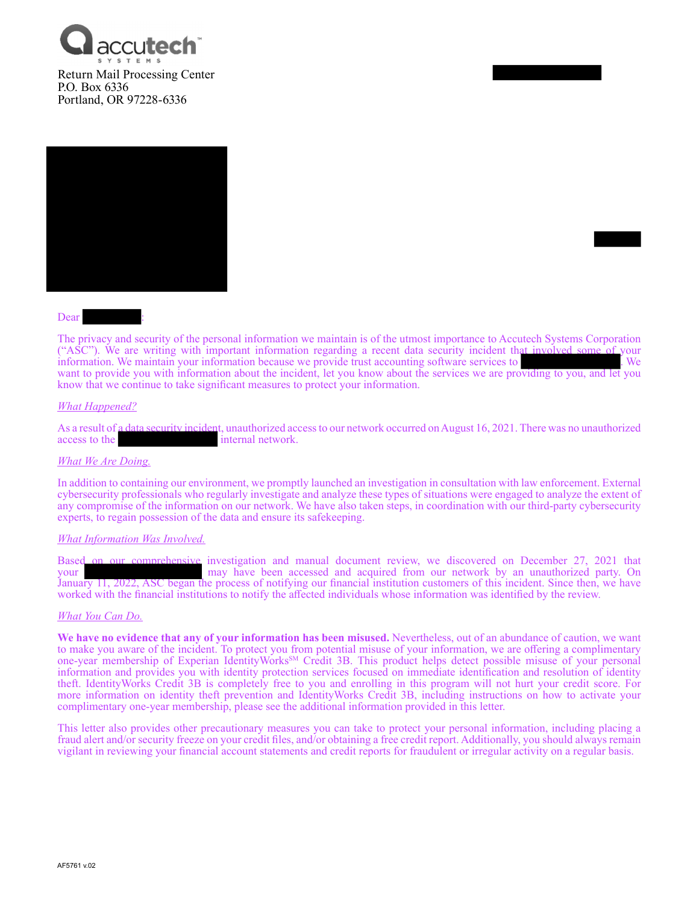



#### Dear

The privacy and security of the personal information we maintain is of the utmost importance to Accutech Systems Corporation ("ASC"). We are writing with important information regarding a recent data security incident that involved some of your information. We maintain your information because we provide trust accounting software services to . We want to provide you with information about the incident, let you know about the services we are providing to you, and let you know that we continue to take significant measures to protect your information.

#### *What Happened?*

As a result of a data security incident, unauthorized access to our network occurred on August 16, 2021. There was no unauthorized access to the internal network. internal network.

#### *What We Are Doing.*

In addition to containing our environment, we promptly launched an investigation in consultation with law enforcement. External cybersecurity professionals who regularly investigate and analyze these types of situations were engaged to analyze the extent of any compromise of the information on our network. We have also taken steps, in coordination with our third-party cybersecurity experts, to regain possession of the data and ensure its safekeeping.

#### *What Information Was Involved.*

Based on our comprehensive investigation and manual document review, we discovered on December 27, 2021 that may have been accessed and acquired from our network by an unauthorized party. On January 11, 2022, ASC began the process of notifying our financial institution customers of this incident. Since then, we have worked with the financial institutions to notify the affected individuals whose information was identified by the review.

#### *What You Can Do.*

**We have no evidence that any of your information has been misused.** Nevertheless, out of an abundance of caution, we want to make you aware of the incident. To protect you from potential misuse of your information, we are offering a complimentary one-year membership of Experian IdentityWorks<sup>SM</sup> Credit 3B. This product helps detect possible misuse of your personal information and provides you with identity protection services focused on immediate identification and resolution of identity theft. IdentityWorks Credit 3B is completely free to you and enrolling in this program will not hurt your credit score. For more information on identity theft prevention and IdentityWorks Credit 3B, including instructions on how to activate your complimentary one-year membership, please see the additional information provided in this letter.

This letter also provides other precautionary measures you can take to protect your personal information, including placing a fraud alert and/or security freeze on your credit files, and/or obtaining a free credit report. Additionally, you should always remain vigilant in reviewing your financial account statements and credit reports for fraudulent or irregular activity on a regular basis.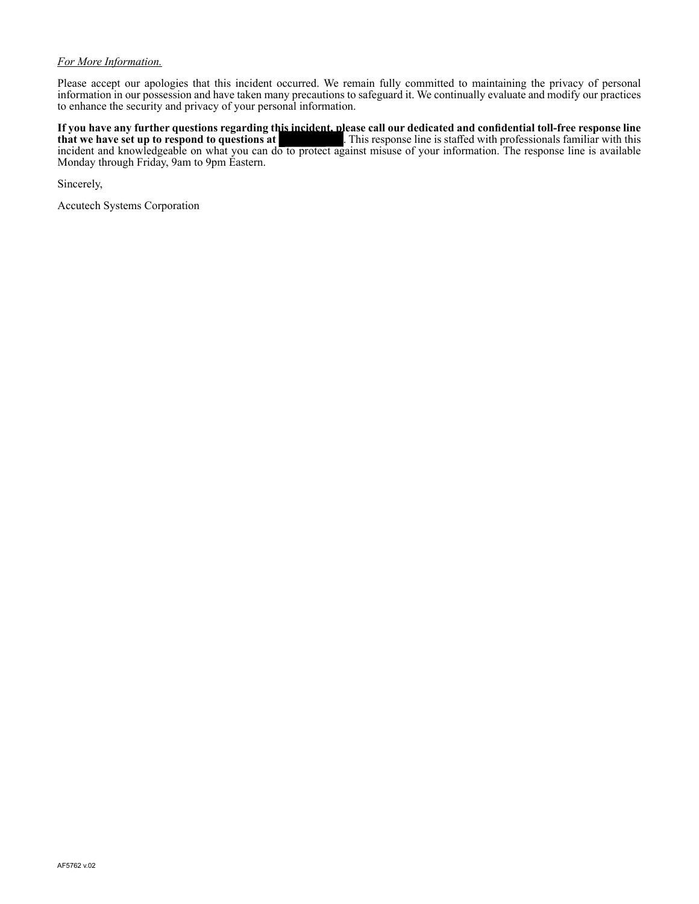## *For More Information.*

Please accept our apologies that this incident occurred. We remain fully committed to maintaining the privacy of personal information in our possession and have taken many precautions to safeguard it. We continually evaluate and modify our practices to enhance the security and privacy of your personal information.

**If you have any further questions regarding this incident, please call our dedicated and confidential toll-free response line**  . This response line is staffed with professionals familiar with this incident and knowledgeable on what you can do to protect against misuse of your information. The response line is available Monday through Friday, 9am to 9pm Eastern.

Sincerely,

Accutech Systems Corporation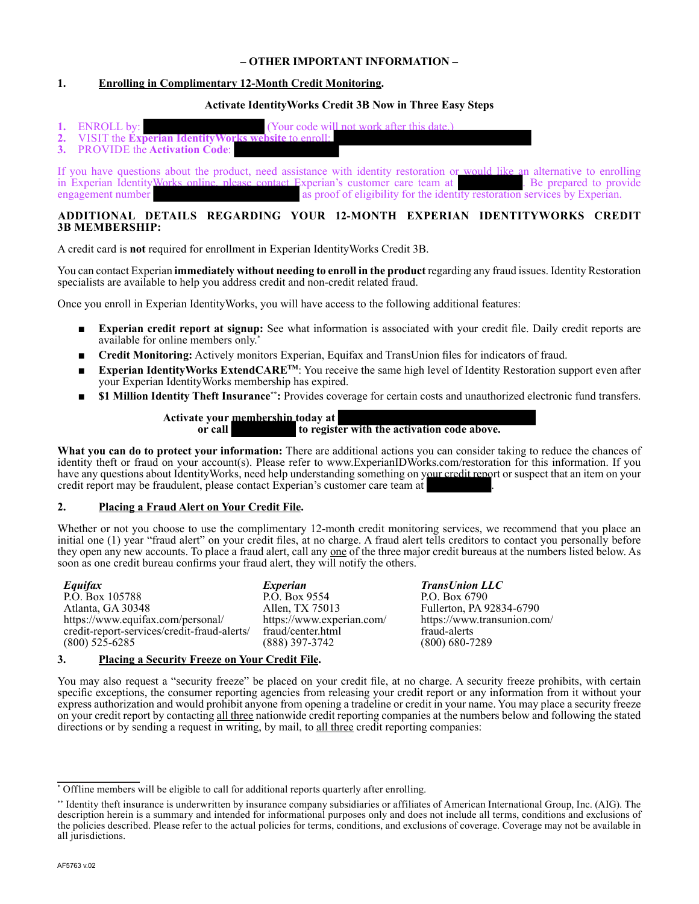## **– OTHER IMPORTANT INFORMATION –**

# **1. Enrolling in Complimentary 12-Month Credit Monitoring.**

## **Activate IdentityWorks Credit 3B Now in Three Easy Steps**

- **1.** ENROLL by: (Your code will not work after this 2. VISIT the **Experian Identity Works website** to enroll:
- **2.** VISIT the **Experian IdentityWo**<br>**3.** PROVIDE the **Activation Code**:
- **3.** PROVIDE the **Activation Code**:

If you have questions about the product, need assistance with identity restoration or would like an alternative to enrolling in Experian IdentityWorks online, please contact Experian's customer care team at . Be prepared to provide engagement number as proof of eligibility for the identity restoration services by Experian.

# **ADDITIONAL DETAILS REGARDING YOUR 12-MONTH EXPERIAN IDENTITYWORKS CREDIT 3B MEMBERSHIP:**

A credit card is **not** required for enrollment in Experian IdentityWorks Credit 3B.

You can contact Experian **immediately without needing to enroll in the product** regarding any fraud issues. Identity Restoration specialists are available to help you address credit and non-credit related fraud.

Once you enroll in Experian IdentityWorks, you will have access to the following additional features:

- **Experian credit report at signup:** See what information is associated with your credit file. Daily credit reports are available for online members only.\*
- **Credit Monitoring:** Actively monitors Experian, Equifax and TransUnion files for indicators of fraud.
- Experian IdentityWorks ExtendCARE<sup>TM</sup>: You receive the same high level of Identity Restoration support even after your Experian IdentityWorks membership has expired.
- \$1 Million Identity Theft Insurance<sup>\*</sup>: Provides coverage for certain costs and unauthorized electronic fund transfers.

## **Activate your membership today at or call to register with the activation code above.**

**What you can do to protect your information:** There are additional actions you can consider taking to reduce the chances of identity theft or fraud on your account(s). Please refer to www.ExperianIDWorks.com/restoration for this information. If you have any questions about IdentityWorks, need help understanding something on your credit report or suspect that an item on your credit report may be fraudulent, please contact Experian's customer care team at .

## **2. Placing a Fraud Alert on Your Credit File.**

Whether or not you choose to use the complimentary 12-month credit monitoring services, we recommend that you place an initial one (1) year "fraud alert" on your credit files, at no charge. A fraud alert tells creditors to contact you personally before they open any new accounts. To place a fraud alert, call any one of the three major credit bureaus at the numbers listed below. As soon as one credit bureau confirms your fraud alert, they will notify the others.

*Equifax* P.O. Box 105788 Atlanta, GA 30348 https://www.equifax.com/personal/ credit-report-services/credit-fraud-alerts/ (800) 525-6285

*Experian*  P.O. Box 9554 Allen, TX 75013 https://www.experian.com/ fraud/center.html (888) 397-3742

*TransUnion LLC* P.O. Box 6790 Fullerton, PA 92834-6790 https://www.transunion.com/ fraud-alerts (800) 680-7289

#### **3. Placing a Security Freeze on Your Credit File.**

You may also request a "security freeze" be placed on your credit file, at no charge. A security freeze prohibits, with certain specific exceptions, the consumer reporting agencies from releasing your credit report or any information from it without your express authorization and would prohibit anyone from opening a tradeline or credit in your name. You may place a security freeze on your credit report by contacting all three nationwide credit reporting companies at the numbers below and following the stated directions or by sending a request in writing, by mail, to all three credit reporting companies:

<sup>\*</sup> Offline members will be eligible to call for additional reports quarterly after enrolling.

<sup>\*\*</sup> Identity theft insurance is underwritten by insurance company subsidiaries or affiliates of American International Group, Inc. (AIG). The description herein is a summary and intended for informational purposes only and does not include all terms, conditions and exclusions of the policies described. Please refer to the actual policies for terms, conditions, and exclusions of coverage. Coverage may not be available in all jurisdictions.